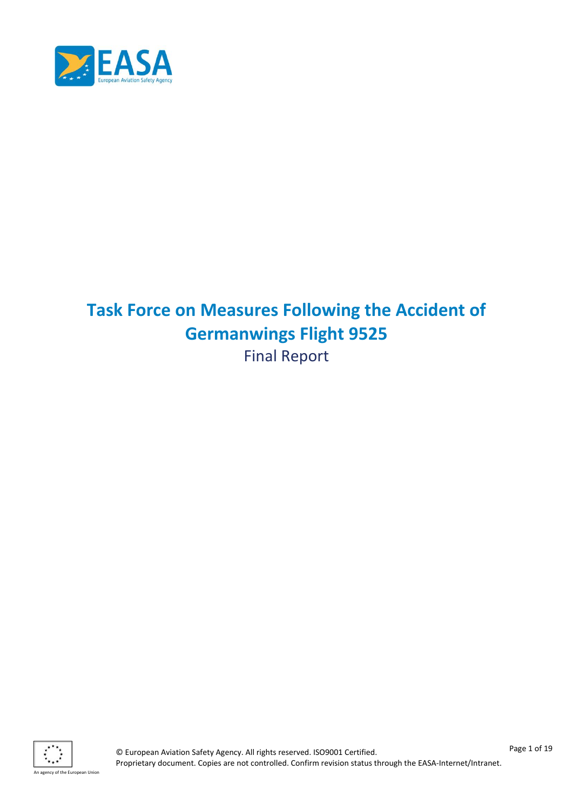

# **Task Force on Measures Following the Accident of Germanwings Flight 9525** Final Report

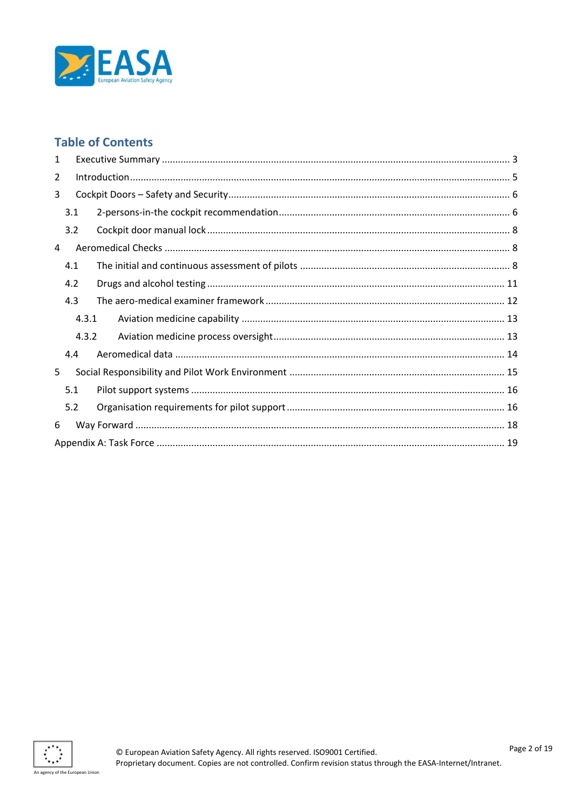

# **Table of Contents**

| 1              |       |  |  |  |  |
|----------------|-------|--|--|--|--|
| $\overline{2}$ |       |  |  |  |  |
| 3              |       |  |  |  |  |
|                | 3.1   |  |  |  |  |
|                | 3.2   |  |  |  |  |
| 4              |       |  |  |  |  |
|                | 4.1   |  |  |  |  |
|                | 4.2   |  |  |  |  |
|                | 4.3   |  |  |  |  |
| 4.3.1          |       |  |  |  |  |
|                | 4.3.2 |  |  |  |  |
| 4.4            |       |  |  |  |  |
| 5              |       |  |  |  |  |
|                | 5.1   |  |  |  |  |
|                | 5.2   |  |  |  |  |
| 6              |       |  |  |  |  |
|                |       |  |  |  |  |

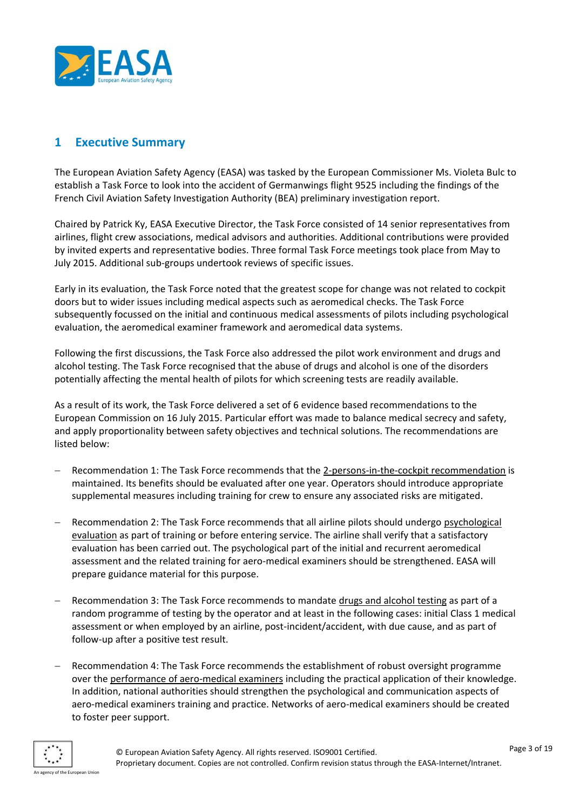

#### <span id="page-2-0"></span>**1 Executive Summary**

The European Aviation Safety Agency (EASA) was tasked by the European Commissioner Ms. Violeta Bulc to establish a Task Force to look into the accident of Germanwings flight 9525 including the findings of the French Civil Aviation Safety Investigation Authority (BEA) preliminary investigation report.

Chaired by Patrick Ky, EASA Executive Director, the Task Force consisted of 14 senior representatives from airlines, flight crew associations, medical advisors and authorities. Additional contributions were provided by invited experts and representative bodies. Three formal Task Force meetings took place from May to July 2015. Additional sub-groups undertook reviews of specific issues.

Early in its evaluation, the Task Force noted that the greatest scope for change was not related to cockpit doors but to wider issues including medical aspects such as aeromedical checks. The Task Force subsequently focussed on the initial and continuous medical assessments of pilots including psychological evaluation, the aeromedical examiner framework and aeromedical data systems.

Following the first discussions, the Task Force also addressed the pilot work environment and drugs and alcohol testing. The Task Force recognised that the abuse of drugs and alcohol is one of the disorders potentially affecting the mental health of pilots for which screening tests are readily available.

As a result of its work, the Task Force delivered a set of 6 evidence based recommendations to the European Commission on 16 July 2015. Particular effort was made to balance medical secrecy and safety, and apply proportionality between safety objectives and technical solutions. The recommendations are listed below:

- Recommendation 1: The Task Force recommends that the 2-persons-in-the-cockpit recommendation is maintained. Its benefits should be evaluated after one year. Operators should introduce appropriate supplemental measures including training for crew to ensure any associated risks are mitigated.
- Recommendation 2: The Task Force recommends that all airline pilots should undergo psychological evaluation as part of training or before entering service. The airline shall verify that a satisfactory evaluation has been carried out. The psychological part of the initial and recurrent aeromedical assessment and the related training for aero-medical examiners should be strengthened. EASA will prepare guidance material for this purpose.
- Recommendation 3: The Task Force recommends to mandate drugs and alcohol testing as part of a random programme of testing by the operator and at least in the following cases: initial Class 1 medical assessment or when employed by an airline, post-incident/accident, with due cause, and as part of follow-up after a positive test result.
- Recommendation 4: The Task Force recommends the establishment of robust oversight programme over the performance of aero-medical examiners including the practical application of their knowledge. In addition, national authorities should strengthen the psychological and communication aspects of aero-medical examiners training and practice. Networks of aero-medical examiners should be created to foster peer support.

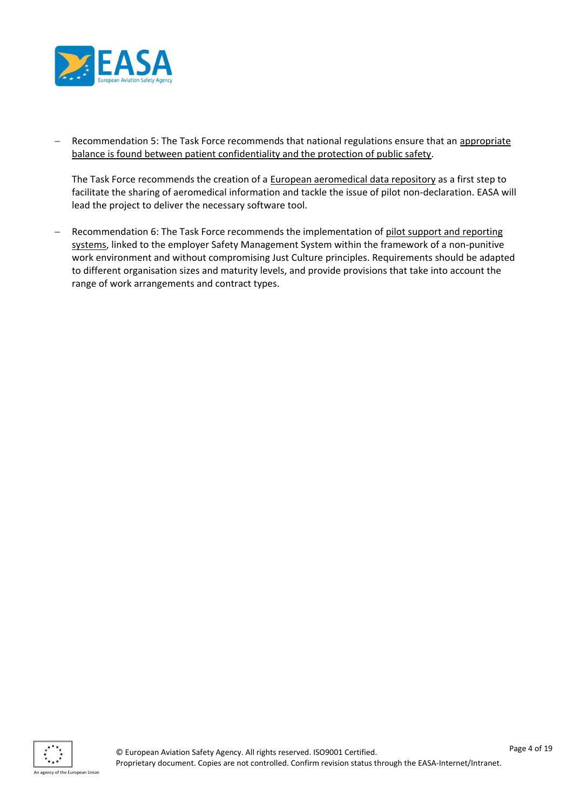

 Recommendation 5: The Task Force recommends that national regulations ensure that an appropriate balance is found between patient confidentiality and the protection of public safety.

The Task Force recommends the creation of a European aeromedical data repository as a first step to facilitate the sharing of aeromedical information and tackle the issue of pilot non-declaration. EASA will lead the project to deliver the necessary software tool.

 Recommendation 6: The Task Force recommends the implementation of pilot support and reporting systems, linked to the employer Safety Management System within the framework of a non-punitive work environment and without compromising Just Culture principles. Requirements should be adapted to different organisation sizes and maturity levels, and provide provisions that take into account the range of work arrangements and contract types.

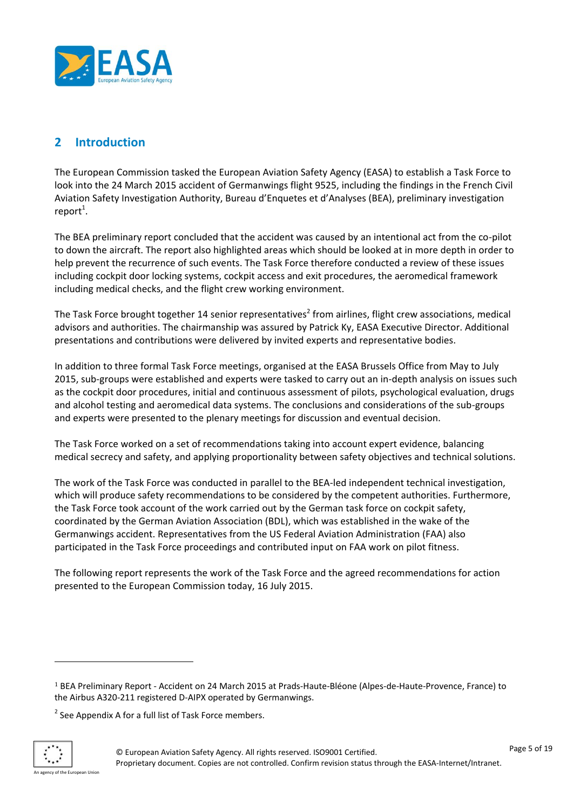

# <span id="page-4-0"></span>**2 Introduction**

The European Commission tasked the European Aviation Safety Agency (EASA) to establish a Task Force to look into the 24 March 2015 accident of Germanwings flight 9525, including the findings in the French Civil Aviation Safety Investigation Authority, Bureau d'Enquetes et d'Analyses (BEA), preliminary investigation  $report<sup>1</sup>$ .

The BEA preliminary report concluded that the accident was caused by an intentional act from the co-pilot to down the aircraft. The report also highlighted areas which should be looked at in more depth in order to help prevent the recurrence of such events. The Task Force therefore conducted a review of these issues including cockpit door locking systems, cockpit access and exit procedures, the aeromedical framework including medical checks, and the flight crew working environment.

The Task Force brought together 14 senior representatives<sup>2</sup> from airlines, flight crew associations, medical advisors and authorities. The chairmanship was assured by Patrick Ky, EASA Executive Director. Additional presentations and contributions were delivered by invited experts and representative bodies.

In addition to three formal Task Force meetings, organised at the EASA Brussels Office from May to July 2015, sub-groups were established and experts were tasked to carry out an in-depth analysis on issues such as the cockpit door procedures, initial and continuous assessment of pilots, psychological evaluation, drugs and alcohol testing and aeromedical data systems. The conclusions and considerations of the sub-groups and experts were presented to the plenary meetings for discussion and eventual decision.

The Task Force worked on a set of recommendations taking into account expert evidence, balancing medical secrecy and safety, and applying proportionality between safety objectives and technical solutions.

The work of the Task Force was conducted in parallel to the BEA-led independent technical investigation, which will produce safety recommendations to be considered by the competent authorities. Furthermore, the Task Force took account of the work carried out by the German task force on cockpit safety, coordinated by the German Aviation Association (BDL), which was established in the wake of the Germanwings accident. Representatives from the US Federal Aviation Administration (FAA) also participated in the Task Force proceedings and contributed input on FAA work on pilot fitness.

The following report represents the work of the Task Force and the agreed recommendations for action presented to the European Commission today, 16 July 2015.

 $2$  See Appendix A for a full list of Task Force members.



 $\overline{\phantom{a}}$ 

<sup>1</sup> BEA Preliminary Report - Accident on 24 March 2015 at Prads-Haute-Bléone (Alpes-de-Haute-Provence, France) to the Airbus A320-211 registered D-AIPX operated by Germanwings.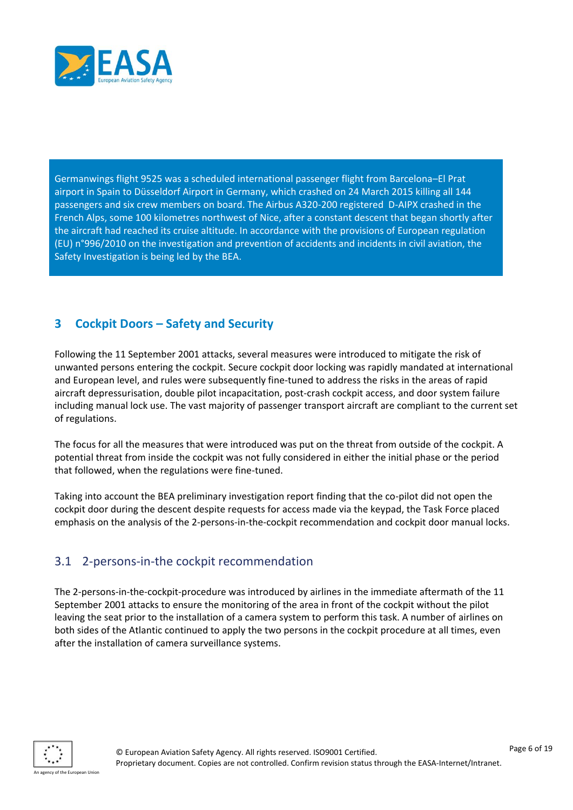

Germanwings flight 9525 was a scheduled international passenger flight from Barcelona–El Prat airport in Spain to Düsseldorf Airport in Germany, which crashed on 24 March 2015 killing all 144 passengers and six crew members on board. The Airbus A320-200 registered D-AIPX crashed in the French Alps, some 100 kilometres northwest of Nice, after a constant descent that began shortly after the aircraft had reached its cruise altitude. In accordance with the provisions of European regulation (EU) n°996/2010 on the investigation and prevention of accidents and incidents in civil aviation, the Safety Investigation is being led by the BEA.

#### <span id="page-5-0"></span>**3 Cockpit Doors – Safety and Security**

Following the 11 September 2001 attacks, several measures were introduced to mitigate the risk of unwanted persons entering the cockpit. Secure cockpit door locking was rapidly mandated at international and European level, and rules were subsequently fine-tuned to address the risks in the areas of rapid aircraft depressurisation, double pilot incapacitation, post-crash cockpit access, and door system failure including manual lock use. The vast majority of passenger transport aircraft are compliant to the current set of regulations.

The focus for all the measures that were introduced was put on the threat from outside of the cockpit. A potential threat from inside the cockpit was not fully considered in either the initial phase or the period that followed, when the regulations were fine-tuned.

Taking into account the BEA preliminary investigation report finding that the co-pilot did not open the cockpit door during the descent despite requests for access made via the keypad, the Task Force placed emphasis on the analysis of the 2-persons-in-the-cockpit recommendation and cockpit door manual locks.

#### <span id="page-5-1"></span>3.1 2-persons-in-the cockpit recommendation

The 2-persons-in-the-cockpit-procedure was introduced by airlines in the immediate aftermath of the 11 September 2001 attacks to ensure the monitoring of the area in front of the cockpit without the pilot leaving the seat prior to the installation of a camera system to perform this task. A number of airlines on both sides of the Atlantic continued to apply the two persons in the cockpit procedure at all times, even after the installation of camera surveillance systems.

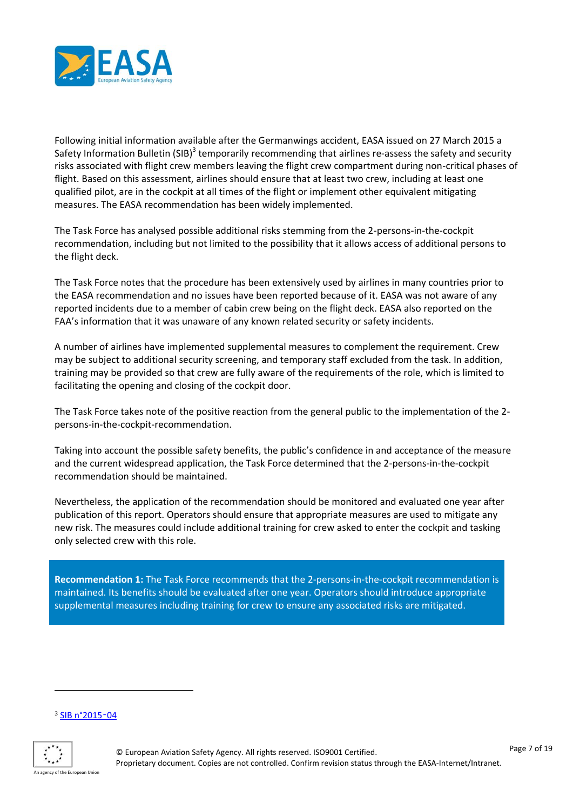

Following initial information available after the Germanwings accident, EASA issued on 27 March 2015 a Safety Information Bulletin (SIB)<sup>3</sup> temporarily recommending that airlines re-assess the safety and security risks associated with flight crew members leaving the flight crew compartment during non-critical phases of flight. Based on this assessment, airlines should ensure that at least two crew, including at least one qualified pilot, are in the cockpit at all times of the flight or implement other equivalent mitigating measures. The EASA recommendation has been widely implemented.

The Task Force has analysed possible additional risks stemming from the 2-persons-in-the-cockpit recommendation, including but not limited to the possibility that it allows access of additional persons to the flight deck.

The Task Force notes that the procedure has been extensively used by airlines in many countries prior to the EASA recommendation and no issues have been reported because of it. EASA was not aware of any reported incidents due to a member of cabin crew being on the flight deck. EASA also reported on the FAA's information that it was unaware of any known related security or safety incidents.

A number of airlines have implemented supplemental measures to complement the requirement. Crew may be subject to additional security screening, and temporary staff excluded from the task. In addition, training may be provided so that crew are fully aware of the requirements of the role, which is limited to facilitating the opening and closing of the cockpit door.

The Task Force takes note of the positive reaction from the general public to the implementation of the 2 persons-in-the-cockpit-recommendation.

Taking into account the possible safety benefits, the public's confidence in and acceptance of the measure and the current widespread application, the Task Force determined that the 2-persons-in-the-cockpit recommendation should be maintained.

Nevertheless, the application of the recommendation should be monitored and evaluated one year after publication of this report. Operators should ensure that appropriate measures are used to mitigate any new risk. The measures could include additional training for crew asked to enter the cockpit and tasking only selected crew with this role.

**Recommendation 1:** The Task Force recommends that the 2-persons-in-the-cockpit recommendation is maintained. Its benefits should be evaluated after one year. Operators should introduce appropriate supplemental measures including training for crew to ensure any associated risks are mitigated.

#### <sup>3</sup> [SIB n°2015](http://ad.easa.europa.eu/ad/2015-04)‑04



l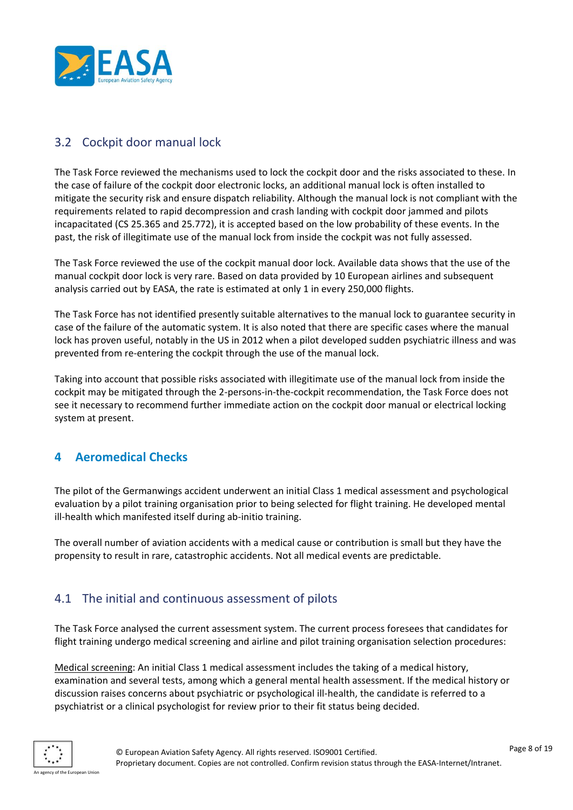

# <span id="page-7-0"></span>3.2 Cockpit door manual lock

The Task Force reviewed the mechanisms used to lock the cockpit door and the risks associated to these. In the case of failure of the cockpit door electronic locks, an additional manual lock is often installed to mitigate the security risk and ensure dispatch reliability. Although the manual lock is not compliant with the requirements related to rapid decompression and crash landing with cockpit door jammed and pilots incapacitated (CS 25.365 and 25.772), it is accepted based on the low probability of these events. In the past, the risk of illegitimate use of the manual lock from inside the cockpit was not fully assessed.

The Task Force reviewed the use of the cockpit manual door lock. Available data shows that the use of the manual cockpit door lock is very rare. Based on data provided by 10 European airlines and subsequent analysis carried out by EASA, the rate is estimated at only 1 in every 250,000 flights.

The Task Force has not identified presently suitable alternatives to the manual lock to guarantee security in case of the failure of the automatic system. It is also noted that there are specific cases where the manual lock has proven useful, notably in the US in 2012 when a pilot developed sudden psychiatric illness and was prevented from re-entering the cockpit through the use of the manual lock.

Taking into account that possible risks associated with illegitimate use of the manual lock from inside the cockpit may be mitigated through the 2-persons-in-the-cockpit recommendation, the Task Force does not see it necessary to recommend further immediate action on the cockpit door manual or electrical locking system at present.

# <span id="page-7-1"></span>**4 Aeromedical Checks**

The pilot of the Germanwings accident underwent an initial Class 1 medical assessment and psychological evaluation by a pilot training organisation prior to being selected for flight training. He developed mental ill-health which manifested itself during ab-initio training.

The overall number of aviation accidents with a medical cause or contribution is small but they have the propensity to result in rare, catastrophic accidents. Not all medical events are predictable.

# <span id="page-7-2"></span>4.1 The initial and continuous assessment of pilots

The Task Force analysed the current assessment system. The current process foresees that candidates for flight training undergo medical screening and airline and pilot training organisation selection procedures:

Medical screening: An initial Class 1 medical assessment includes the taking of a medical history, examination and several tests, among which a general mental health assessment. If the medical history or discussion raises concerns about psychiatric or psychological ill-health, the candidate is referred to a psychiatrist or a clinical psychologist for review prior to their fit status being decided.

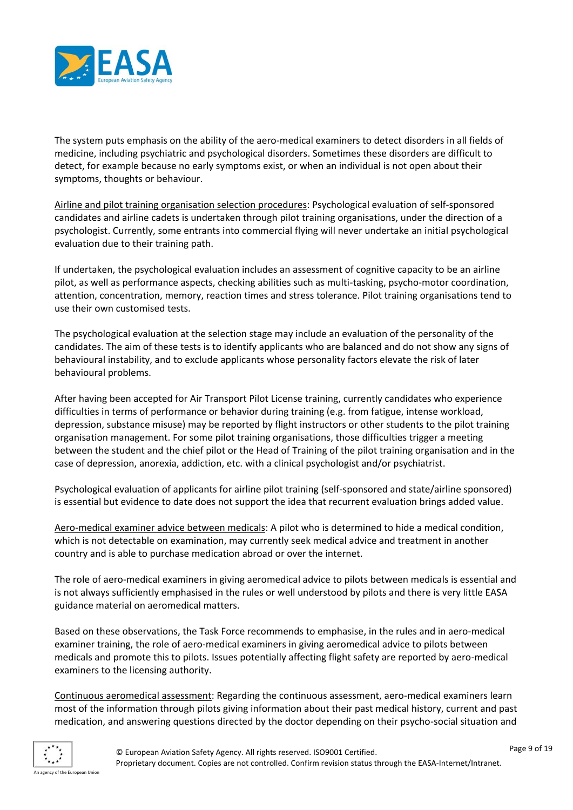

The system puts emphasis on the ability of the aero-medical examiners to detect disorders in all fields of medicine, including psychiatric and psychological disorders. Sometimes these disorders are difficult to detect, for example because no early symptoms exist, or when an individual is not open about their symptoms, thoughts or behaviour.

Airline and pilot training organisation selection procedures: Psychological evaluation of self-sponsored candidates and airline cadets is undertaken through pilot training organisations, under the direction of a psychologist. Currently, some entrants into commercial flying will never undertake an initial psychological evaluation due to their training path.

If undertaken, the psychological evaluation includes an assessment of cognitive capacity to be an airline pilot, as well as performance aspects, checking abilities such as multi-tasking, psycho-motor coordination, attention, concentration, memory, reaction times and stress tolerance. Pilot training organisations tend to use their own customised tests.

The psychological evaluation at the selection stage may include an evaluation of the personality of the candidates. The aim of these tests is to identify applicants who are balanced and do not show any signs of behavioural instability, and to exclude applicants whose personality factors elevate the risk of later behavioural problems.

After having been accepted for Air Transport Pilot License training, currently candidates who experience difficulties in terms of performance or behavior during training (e.g. from fatigue, intense workload, depression, substance misuse) may be reported by flight instructors or other students to the pilot training organisation management. For some pilot training organisations, those difficulties trigger a meeting between the student and the chief pilot or the Head of Training of the pilot training organisation and in the case of depression, anorexia, addiction, etc. with a clinical psychologist and/or psychiatrist.

Psychological evaluation of applicants for airline pilot training (self-sponsored and state/airline sponsored) is essential but evidence to date does not support the idea that recurrent evaluation brings added value.

Aero-medical examiner advice between medicals: A pilot who is determined to hide a medical condition, which is not detectable on examination, may currently seek medical advice and treatment in another country and is able to purchase medication abroad or over the internet.

The role of aero-medical examiners in giving aeromedical advice to pilots between medicals is essential and is not always sufficiently emphasised in the rules or well understood by pilots and there is very little EASA guidance material on aeromedical matters.

Based on these observations, the Task Force recommends to emphasise, in the rules and in aero-medical examiner training, the role of aero-medical examiners in giving aeromedical advice to pilots between medicals and promote this to pilots. Issues potentially affecting flight safety are reported by aero-medical examiners to the licensing authority.

Continuous aeromedical assessment: Regarding the continuous assessment, aero-medical examiners learn most of the information through pilots giving information about their past medical history, current and past medication, and answering questions directed by the doctor depending on their psycho-social situation and

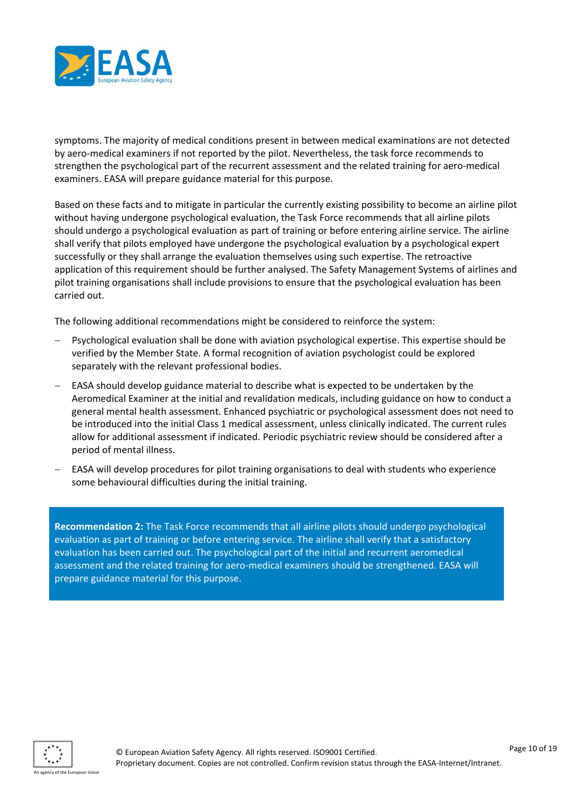

symptoms. The majority of medical conditions present in between medical examinations are not detected by aero-medical examiners if not reported by the pilot. Nevertheless, the task force recommends to strengthen the psychological part of the recurrent assessment and the related training for aero-medical examiners. EASA will prepare guidance material for this purpose.

Based on these facts and to mitigate in particular the currently existing possibility to become an airline pilot without having undergone psychological evaluation, the Task Force recommends that all airline pilots should undergo a psychological evaluation as part of training or before entering airline service. The airline shall verify that pilots employed have undergone the psychological evaluation by a psychological expert successfully or they shall arrange the evaluation themselves using such expertise. The retroactive application of this requirement should be further analysed. The Safety Management Systems of airlines and pilot training organisations shall include provisions to ensure that the psychological evaluation has been carried out.

The following additional recommendations might be considered to reinforce the system:

- Psychological evaluation shall be done with aviation psychological expertise. This expertise should be verified by the Member State. A formal recognition of aviation psychologist could be explored separately with the relevant professional bodies.
- EASA should develop guidance material to describe what is expected to be undertaken by the Aeromedical Examiner at the initial and revalidation medicals, including guidance on how to conduct a general mental health assessment. Enhanced psychiatric or psychological assessment does not need to be introduced into the initial Class 1 medical assessment, unless clinically indicated. The current rules allow for additional assessment if indicated. Periodic psychiatric review should be considered after a period of mental illness.
- EASA will develop procedures for pilot training organisations to deal with students who experience some behavioural difficulties during the initial training.

**Recommendation 2:** The Task Force recommends that all airline pilots should undergo psychological evaluation as part of training or before entering service. The airline shall verify that a satisfactory evaluation has been carried out. The psychological part of the initial and recurrent aeromedical assessment and the related training for aero-medical examiners should be strengthened. EASA will prepare guidance material for this purpose.

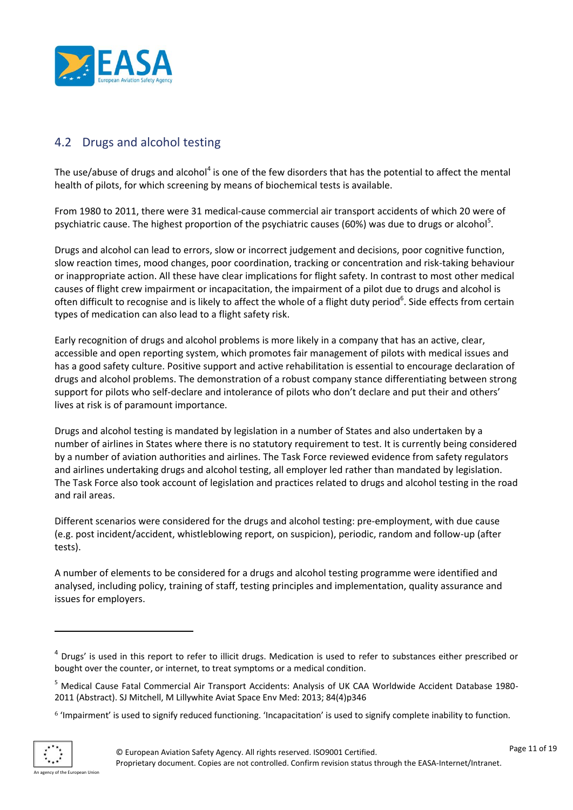

# <span id="page-10-0"></span>4.2 Drugs and alcohol testing

The use/abuse of drugs and alcohol<sup>4</sup> is one of the few disorders that has the potential to affect the mental health of pilots, for which screening by means of biochemical tests is available.

From 1980 to 2011, there were 31 medical-cause commercial air transport accidents of which 20 were of psychiatric cause. The highest proportion of the psychiatric causes (60%) was due to drugs or alcohol<sup>5</sup>.

Drugs and alcohol can lead to errors, slow or incorrect judgement and decisions, poor cognitive function, slow reaction times, mood changes, poor coordination, tracking or concentration and risk-taking behaviour or inappropriate action. All these have clear implications for flight safety. In contrast to most other medical causes of flight crew impairment or incapacitation, the impairment of a pilot due to drugs and alcohol is often difficult to recognise and is likely to affect the whole of a flight duty period<sup>6</sup>. Side effects from certain types of medication can also lead to a flight safety risk.

Early recognition of drugs and alcohol problems is more likely in a company that has an active, clear, accessible and open reporting system, which promotes fair management of pilots with medical issues and has a good safety culture. Positive support and active rehabilitation is essential to encourage declaration of drugs and alcohol problems. The demonstration of a robust company stance differentiating between strong support for pilots who self-declare and intolerance of pilots who don't declare and put their and others' lives at risk is of paramount importance.

Drugs and alcohol testing is mandated by legislation in a number of States and also undertaken by a number of airlines in States where there is no statutory requirement to test. It is currently being considered by a number of aviation authorities and airlines. The Task Force reviewed evidence from safety regulators and airlines undertaking drugs and alcohol testing, all employer led rather than mandated by legislation. The Task Force also took account of legislation and practices related to drugs and alcohol testing in the road and rail areas.

Different scenarios were considered for the drugs and alcohol testing: pre-employment, with due cause (e.g. post incident/accident, whistleblowing report, on suspicion), periodic, random and follow-up (after tests).

A number of elements to be considered for a drugs and alcohol testing programme were identified and analysed, including policy, training of staff, testing principles and implementation, quality assurance and issues for employers.

<sup>6</sup> 'Impairment' is used to signify reduced functioning. 'Incapacitation' is used to signify complete inability to function.



 $\overline{a}$ 

<sup>&</sup>lt;sup>4</sup> Drugs' is used in this report to refer to illicit drugs. Medication is used to refer to substances either prescribed or bought over the counter, or internet, to treat symptoms or a medical condition.

<sup>5</sup> Medical Cause Fatal Commercial Air Transport Accidents: Analysis of UK CAA Worldwide Accident Database 1980- 2011 (Abstract). SJ Mitchell, M Lillywhite Aviat Space Env Med: 2013; 84(4)p346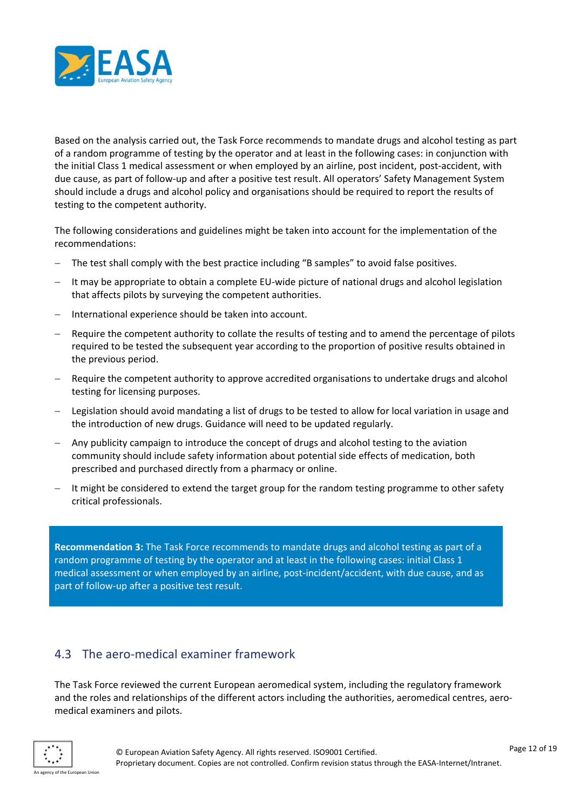

Based on the analysis carried out, the Task Force recommends to mandate drugs and alcohol testing as part of a random programme of testing by the operator and at least in the following cases: in conjunction with the initial Class 1 medical assessment or when employed by an airline, post incident, post-accident, with due cause, as part of follow-up and after a positive test result. All operators' Safety Management System should include a drugs and alcohol policy and organisations should be required to report the results of testing to the competent authority.

The following considerations and guidelines might be taken into account for the implementation of the recommendations:

- The test shall comply with the best practice including "B samples" to avoid false positives.
- It may be appropriate to obtain a complete EU-wide picture of national drugs and alcohol legislation that affects pilots by surveying the competent authorities.
- International experience should be taken into account.
- Require the competent authority to collate the results of testing and to amend the percentage of pilots required to be tested the subsequent year according to the proportion of positive results obtained in the previous period.
- Require the competent authority to approve accredited organisations to undertake drugs and alcohol testing for licensing purposes.
- Legislation should avoid mandating a list of drugs to be tested to allow for local variation in usage and the introduction of new drugs. Guidance will need to be updated regularly.
- Any publicity campaign to introduce the concept of drugs and alcohol testing to the aviation community should include safety information about potential side effects of medication, both prescribed and purchased directly from a pharmacy or online.
- It might be considered to extend the target group for the random testing programme to other safety critical professionals.

**Recommendation 3:** The Task Force recommends to mandate drugs and alcohol testing as part of a random programme of testing by the operator and at least in the following cases: initial Class 1 medical assessment or when employed by an airline, post-incident/accident, with due cause, and as part of follow-up after a positive test result.

# <span id="page-11-0"></span>4.3 The aero-medical examiner framework

The Task Force reviewed the current European aeromedical system, including the regulatory framework and the roles and relationships of the different actors including the authorities, aeromedical centres, aeromedical examiners and pilots.

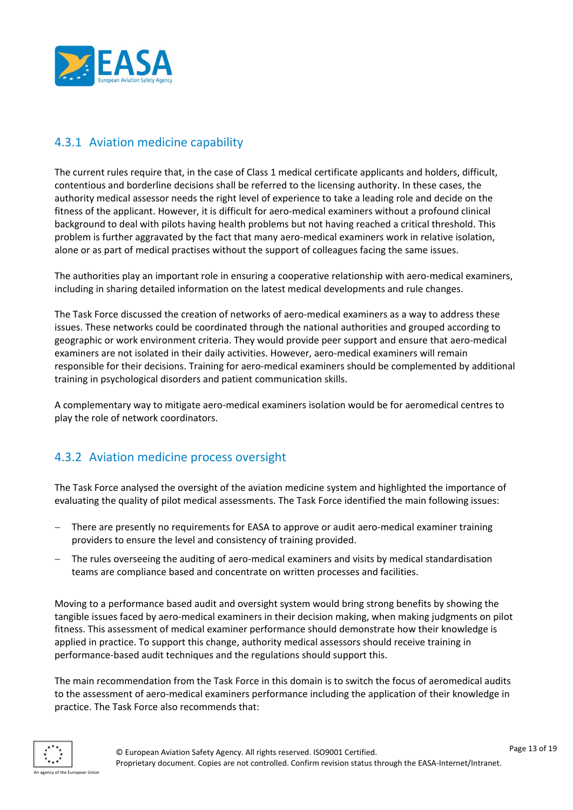

# <span id="page-12-0"></span>4.3.1 Aviation medicine capability

The current rules require that, in the case of Class 1 medical certificate applicants and holders, difficult, contentious and borderline decisions shall be referred to the licensing authority. In these cases, the authority medical assessor needs the right level of experience to take a leading role and decide on the fitness of the applicant. However, it is difficult for aero-medical examiners without a profound clinical background to deal with pilots having health problems but not having reached a critical threshold. This problem is further aggravated by the fact that many aero-medical examiners work in relative isolation, alone or as part of medical practises without the support of colleagues facing the same issues.

The authorities play an important role in ensuring a cooperative relationship with aero-medical examiners, including in sharing detailed information on the latest medical developments and rule changes.

The Task Force discussed the creation of networks of aero-medical examiners as a way to address these issues. These networks could be coordinated through the national authorities and grouped according to geographic or work environment criteria. They would provide peer support and ensure that aero-medical examiners are not isolated in their daily activities. However, aero-medical examiners will remain responsible for their decisions. Training for aero-medical examiners should be complemented by additional training in psychological disorders and patient communication skills.

A complementary way to mitigate aero-medical examiners isolation would be for aeromedical centres to play the role of network coordinators.

# <span id="page-12-1"></span>4.3.2 Aviation medicine process oversight

The Task Force analysed the oversight of the aviation medicine system and highlighted the importance of evaluating the quality of pilot medical assessments. The Task Force identified the main following issues:

- There are presently no requirements for EASA to approve or audit aero-medical examiner training providers to ensure the level and consistency of training provided.
- The rules overseeing the auditing of aero-medical examiners and visits by medical standardisation teams are compliance based and concentrate on written processes and facilities.

Moving to a performance based audit and oversight system would bring strong benefits by showing the tangible issues faced by aero-medical examiners in their decision making, when making judgments on pilot fitness. This assessment of medical examiner performance should demonstrate how their knowledge is applied in practice. To support this change, authority medical assessors should receive training in performance-based audit techniques and the regulations should support this.

The main recommendation from the Task Force in this domain is to switch the focus of aeromedical audits to the assessment of aero-medical examiners performance including the application of their knowledge in practice. The Task Force also recommends that:

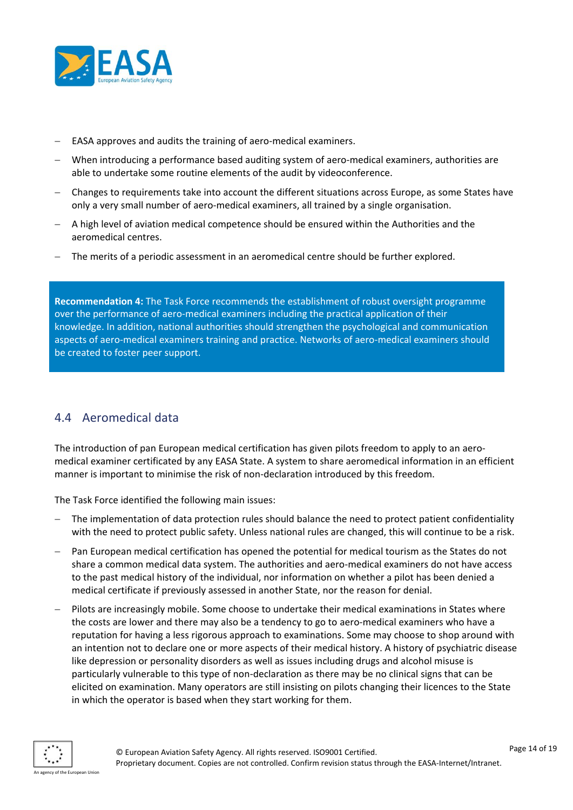

- EASA approves and audits the training of aero-medical examiners.
- When introducing a performance based auditing system of aero-medical examiners, authorities are able to undertake some routine elements of the audit by videoconference.
- Changes to requirements take into account the different situations across Europe, as some States have only a very small number of aero-medical examiners, all trained by a single organisation.
- A high level of aviation medical competence should be ensured within the Authorities and the aeromedical centres.
- The merits of a periodic assessment in an aeromedical centre should be further explored.

**Recommendation 4:** The Task Force recommends the establishment of robust oversight programme over the performance of aero-medical examiners including the practical application of their knowledge. In addition, national authorities should strengthen the psychological and communication aspects of aero-medical examiners training and practice. Networks of aero-medical examiners should be created to foster peer support.

# <span id="page-13-0"></span>4.4 Aeromedical data

The introduction of pan European medical certification has given pilots freedom to apply to an aeromedical examiner certificated by any EASA State. A system to share aeromedical information in an efficient manner is important to minimise the risk of non-declaration introduced by this freedom.

The Task Force identified the following main issues:

- The implementation of data protection rules should balance the need to protect patient confidentiality with the need to protect public safety. Unless national rules are changed, this will continue to be a risk.
- Pan European medical certification has opened the potential for medical tourism as the States do not share a common medical data system. The authorities and aero-medical examiners do not have access to the past medical history of the individual, nor information on whether a pilot has been denied a medical certificate if previously assessed in another State, nor the reason for denial.
- Pilots are increasingly mobile. Some choose to undertake their medical examinations in States where the costs are lower and there may also be a tendency to go to aero-medical examiners who have a reputation for having a less rigorous approach to examinations. Some may choose to shop around with an intention not to declare one or more aspects of their medical history. A history of psychiatric disease like depression or personality disorders as well as issues including drugs and alcohol misuse is particularly vulnerable to this type of non-declaration as there may be no clinical signs that can be elicited on examination. Many operators are still insisting on pilots changing their licences to the State in which the operator is based when they start working for them.

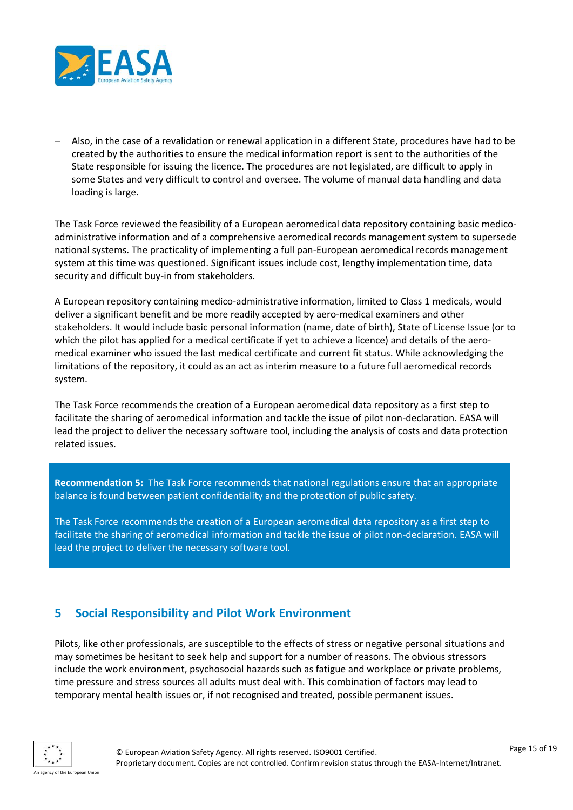

 Also, in the case of a revalidation or renewal application in a different State, procedures have had to be created by the authorities to ensure the medical information report is sent to the authorities of the State responsible for issuing the licence. The procedures are not legislated, are difficult to apply in some States and very difficult to control and oversee. The volume of manual data handling and data loading is large.

The Task Force reviewed the feasibility of a European aeromedical data repository containing basic medicoadministrative information and of a comprehensive aeromedical records management system to supersede national systems. The practicality of implementing a full pan-European aeromedical records management system at this time was questioned. Significant issues include cost, lengthy implementation time, data security and difficult buy-in from stakeholders.

A European repository containing medico-administrative information, limited to Class 1 medicals, would deliver a significant benefit and be more readily accepted by aero-medical examiners and other stakeholders. It would include basic personal information (name, date of birth), State of License Issue (or to which the pilot has applied for a medical certificate if yet to achieve a licence) and details of the aeromedical examiner who issued the last medical certificate and current fit status. While acknowledging the limitations of the repository, it could as an act as interim measure to a future full aeromedical records system.

The Task Force recommends the creation of a European aeromedical data repository as a first step to facilitate the sharing of aeromedical information and tackle the issue of pilot non-declaration. EASA will lead the project to deliver the necessary software tool, including the analysis of costs and data protection related issues.

**Recommendation 5:** The Task Force recommends that national regulations ensure that an appropriate balance is found between patient confidentiality and the protection of public safety.

The Task Force recommends the creation of a European aeromedical data repository as a first step to facilitate the sharing of aeromedical information and tackle the issue of pilot non-declaration. EASA will lead the project to deliver the necessary software tool.

#### <span id="page-14-0"></span>**5 Social Responsibility and Pilot Work Environment**

Pilots, like other professionals, are susceptible to the effects of stress or negative personal situations and may sometimes be hesitant to seek help and support for a number of reasons. The obvious stressors include the work environment, psychosocial hazards such as fatigue and workplace or private problems, time pressure and stress sources all adults must deal with. This combination of factors may lead to temporary mental health issues or, if not recognised and treated, possible permanent issues.

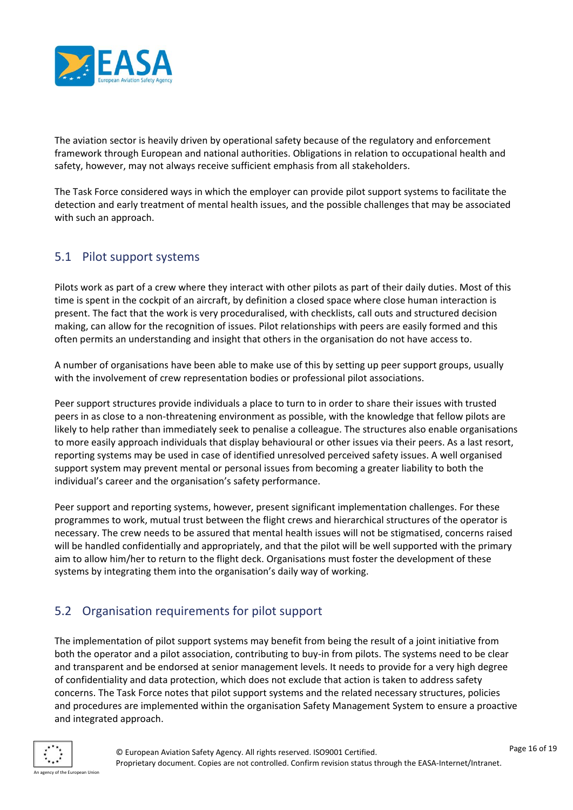

The aviation sector is heavily driven by operational safety because of the regulatory and enforcement framework through European and national authorities. Obligations in relation to occupational health and safety, however, may not always receive sufficient emphasis from all stakeholders.

The Task Force considered ways in which the employer can provide pilot support systems to facilitate the detection and early treatment of mental health issues, and the possible challenges that may be associated with such an approach.

# <span id="page-15-0"></span>5.1 Pilot support systems

Pilots work as part of a crew where they interact with other pilots as part of their daily duties. Most of this time is spent in the cockpit of an aircraft, by definition a closed space where close human interaction is present. The fact that the work is very proceduralised, with checklists, call outs and structured decision making, can allow for the recognition of issues. Pilot relationships with peers are easily formed and this often permits an understanding and insight that others in the organisation do not have access to.

A number of organisations have been able to make use of this by setting up peer support groups, usually with the involvement of crew representation bodies or professional pilot associations.

Peer support structures provide individuals a place to turn to in order to share their issues with trusted peers in as close to a non-threatening environment as possible, with the knowledge that fellow pilots are likely to help rather than immediately seek to penalise a colleague. The structures also enable organisations to more easily approach individuals that display behavioural or other issues via their peers. As a last resort, reporting systems may be used in case of identified unresolved perceived safety issues. A well organised support system may prevent mental or personal issues from becoming a greater liability to both the individual's career and the organisation's safety performance.

Peer support and reporting systems, however, present significant implementation challenges. For these programmes to work, mutual trust between the flight crews and hierarchical structures of the operator is necessary. The crew needs to be assured that mental health issues will not be stigmatised, concerns raised will be handled confidentially and appropriately, and that the pilot will be well supported with the primary aim to allow him/her to return to the flight deck. Organisations must foster the development of these systems by integrating them into the organisation's daily way of working.

# <span id="page-15-1"></span>5.2 Organisation requirements for pilot support

The implementation of pilot support systems may benefit from being the result of a joint initiative from both the operator and a pilot association, contributing to buy-in from pilots. The systems need to be clear and transparent and be endorsed at senior management levels. It needs to provide for a very high degree of confidentiality and data protection, which does not exclude that action is taken to address safety concerns. The Task Force notes that pilot support systems and the related necessary structures, policies and procedures are implemented within the organisation Safety Management System to ensure a proactive and integrated approach.

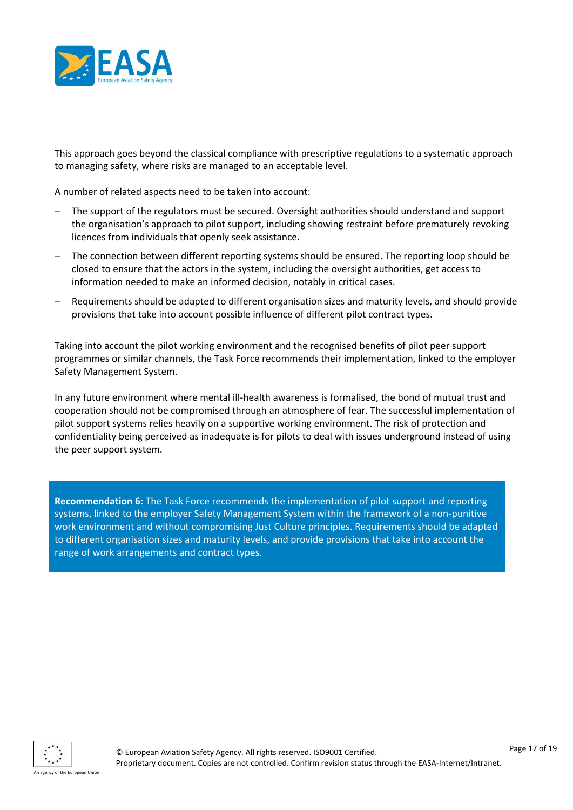

This approach goes beyond the classical compliance with prescriptive regulations to a systematic approach to managing safety, where risks are managed to an acceptable level.

A number of related aspects need to be taken into account:

- The support of the regulators must be secured. Oversight authorities should understand and support the organisation's approach to pilot support, including showing restraint before prematurely revoking licences from individuals that openly seek assistance.
- The connection between different reporting systems should be ensured. The reporting loop should be closed to ensure that the actors in the system, including the oversight authorities, get access to information needed to make an informed decision, notably in critical cases.
- Requirements should be adapted to different organisation sizes and maturity levels, and should provide provisions that take into account possible influence of different pilot contract types.

Taking into account the pilot working environment and the recognised benefits of pilot peer support programmes or similar channels, the Task Force recommends their implementation, linked to the employer Safety Management System.

In any future environment where mental ill-health awareness is formalised, the bond of mutual trust and cooperation should not be compromised through an atmosphere of fear. The successful implementation of pilot support systems relies heavily on a supportive working environment. The risk of protection and confidentiality being perceived as inadequate is for pilots to deal with issues underground instead of using the peer support system.

**Recommendation 6:** The Task Force recommends the implementation of pilot support and reporting systems, linked to the employer Safety Management System within the framework of a non-punitive work environment and without compromising Just Culture principles. Requirements should be adapted to different organisation sizes and maturity levels, and provide provisions that take into account the range of work arrangements and contract types.

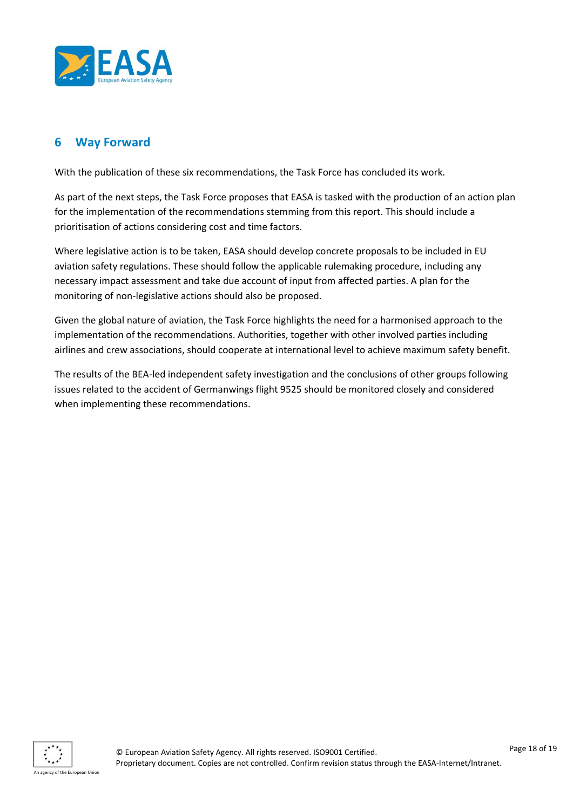

#### <span id="page-17-0"></span>**6 Way Forward**

With the publication of these six recommendations, the Task Force has concluded its work.

As part of the next steps, the Task Force proposes that EASA is tasked with the production of an action plan for the implementation of the recommendations stemming from this report. This should include a prioritisation of actions considering cost and time factors.

Where legislative action is to be taken, EASA should develop concrete proposals to be included in EU aviation safety regulations. These should follow the applicable rulemaking procedure, including any necessary impact assessment and take due account of input from affected parties. A plan for the monitoring of non-legislative actions should also be proposed.

Given the global nature of aviation, the Task Force highlights the need for a harmonised approach to the implementation of the recommendations. Authorities, together with other involved parties including airlines and crew associations, should cooperate at international level to achieve maximum safety benefit.

The results of the BEA-led independent safety investigation and the conclusions of other groups following issues related to the accident of Germanwings flight 9525 should be monitored closely and considered when implementing these recommendations.